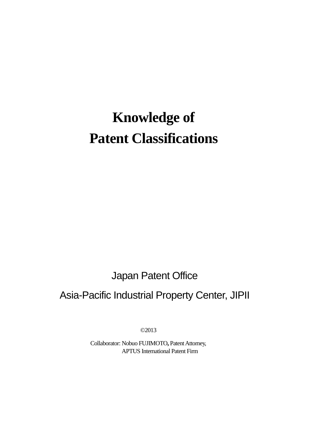# **Knowledge of Patent Classifications**

Japan Patent Office

# Asia-Pacific Industrial Property Center, JIPII

©2013

Collaborator: Nobuo FUJIMOTO**,** Patent Attorney, APTUS International Patent Firm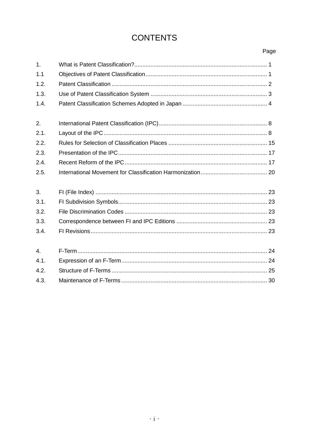# **CONTENTS**

# Page

| 1.               |  |
|------------------|--|
| 1.1              |  |
| 1.2.             |  |
| 1.3.             |  |
| 1.4.             |  |
| 2.               |  |
| 2.1.             |  |
| 2.2.             |  |
| 2.3.             |  |
| 2.4.             |  |
| 2.5.             |  |
| 3.               |  |
| 3.1.             |  |
| 3.2.             |  |
| 3.3.             |  |
| 3.4.             |  |
| $\overline{4}$ . |  |
| 4.1.             |  |
| 4.2.             |  |
| 4.3.             |  |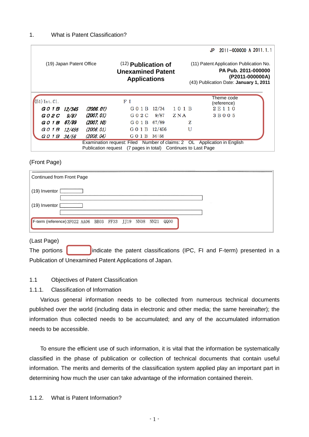<span id="page-2-0"></span>

|                          |              |            |                                                                                                                                           |       |      |                                                                                                                             | JP. | 2011-000000 A 2011.1.1    |  |  |  |
|--------------------------|--------------|------------|-------------------------------------------------------------------------------------------------------------------------------------------|-------|------|-----------------------------------------------------------------------------------------------------------------------------|-----|---------------------------|--|--|--|
| (19) Japan Patent Office |              |            | $(12)$ Publication of<br><b>Unexamined Patent</b><br><b>Applications</b>                                                                  |       |      | (11) Patent Application Publication No.<br>PA Pub. 2011-000000<br>(P2011-000000A)<br>(43) Publication Date: January 1, 2011 |     |                           |  |  |  |
| $(51)$ Int. C1.          |              |            | FІ                                                                                                                                        |       |      |                                                                                                                             |     | Theme code<br>(reference) |  |  |  |
| G 0 1 B                  | 12/345       | (2006. 01) | $G$ 0 1 B                                                                                                                                 | 12/34 | 101B |                                                                                                                             |     | 2E110                     |  |  |  |
| G 0 2 C                  | 9/87         | (2007. 01) | G 0 2 C                                                                                                                                   | 9/87  | ZNA  |                                                                                                                             |     | 3 B 0 0 5                 |  |  |  |
| G 0 1 B                  | <i>67/89</i> | (2007. 10) | G 0 1 B 67/89                                                                                                                             |       |      | z                                                                                                                           |     |                           |  |  |  |
| G 0 1 B                  | 12/456       | (2006. 01) | G 0 1 B 12/456                                                                                                                            |       |      | U                                                                                                                           |     |                           |  |  |  |
| G 0 1 B                  | 34/56        | (2008.04)  | G 0 1 B 34:56                                                                                                                             |       |      |                                                                                                                             |     |                           |  |  |  |
|                          |              |            | Examination request: Filed Number of claims: 2 OL Application in English<br>Publication request (7 pages in total) Continues to Last Page |       |      |                                                                                                                             |     |                           |  |  |  |

#### (Front Page)

| Continued from Front Page                         |  |  |      |      |  |  |
|---------------------------------------------------|--|--|------|------|--|--|
| $(19)$ Inventor $[$                               |  |  |      |      |  |  |
| $(19)$ Inventor                                   |  |  |      |      |  |  |
| F-term (reference) 3F022 AA06 BB03 FF33 JJ19 NN08 |  |  | NN21 | QQ00 |  |  |

# (Last Page)

The portions  $\begin{bmatrix} \cdot & \cdot & \cdot \\ \cdot & \cdot & \cdot \\ \cdot & \cdot & \cdot \end{bmatrix}$  indicate the patent classifications (IPC, FI and F-term) presented in a Publication of Unexamined Patent Applications of Japan.

#### <span id="page-2-1"></span>1.1 Objectives of Patent Classification

#### 1.1.1. Classification of Information

Various general information needs to be collected from numerous technical documents published over the world (including data in electronic and other media; the same hereinafter); the information thus collected needs to be accumulated; and any of the accumulated information needs to be accessible.

To ensure the efficient use of such information, it is vital that the information be systematically classified in the phase of publication or collection of technical documents that contain useful information. The merits and demerits of the classification system applied play an important part in determining how much the user can take advantage of the information contained therein.

1.1.2. What is Patent Information?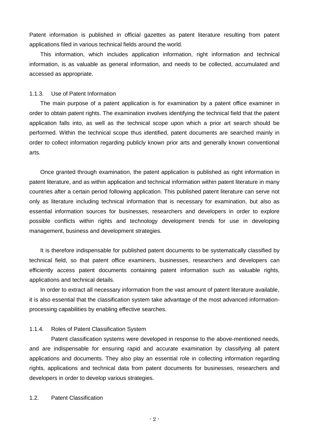Patent information is published in official gazettes as patent literature resulting from patent applications filed in various technical fields around the world.

This information, which includes application information, right information and technical information, is as valuable as general information, and needs to be collected, accumulated and accessed as appropriate.

#### 1.1.3. Use of Patent Information

The main purpose of a patent application is for examination by a patent office examiner in order to obtain patent rights. The examination involves identifying the technical field that the patent application falls into, as well as the technical scope upon which a prior art search should be performed. Within the technical scope thus identified, patent documents are searched mainly in order to collect information regarding publicly known prior arts and generally known conventional arts.

Once granted through examination, the patent application is published as right information in patent literature, and as within application and technical information within patent literature in many countries after a certain period following application. This published patent literature can serve not only as literature including technical information that is necessary for examination, but also as essential information sources for businesses, researchers and developers in order to explore possible conflicts within rights and technology development trends for use in developing management, business and development strategies.

It is therefore indispensable for published patent documents to be systematically classified by technical field, so that patent office examiners, businesses, researchers and developers can efficiently access patent documents containing patent information such as valuable rights, applications and technical details.

In order to extract all necessary information from the vast amount of patent literature available, it is also essential that the classification system take advantage of the most advanced informationprocessing capabilities by enabling effective searches.

#### 1.1.4. Roles of Patent Classification System

Patent classification systems were developed in response to the above-mentioned needs, and are indispensable for ensuring rapid and accurate examination by classifying all patent applications and documents. They also play an essential role in collecting information regarding rights, applications and technical data from patent documents for businesses, researchers and developers in order to develop various strategies.

#### <span id="page-3-0"></span>1.2. Patent Classification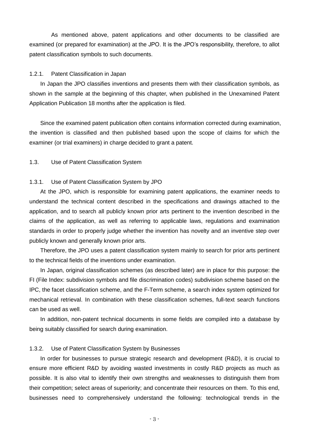As mentioned above, patent applications and other documents to be classified are examined (or prepared for examination) at the JPO. It is the JPO's responsibility, therefore, to allot patent classification symbols to such documents.

#### 1.2.1. Patent Classification in Japan

In Japan the JPO classifies inventions and presents them with their classification symbols, as shown in the sample at the beginning of this chapter, when published in the Unexamined Patent Application Publication 18 months after the application is filed.

Since the examined patent publication often contains information corrected during examination, the invention is classified and then published based upon the scope of claims for which the examiner (or trial examiners) in charge decided to grant a patent.

#### <span id="page-4-0"></span>1.3. Use of Patent Classification System

#### 1.3.1. Use of Patent Classification System by JPO

At the JPO, which is responsible for examining patent applications, the examiner needs to understand the technical content described in the specifications and drawings attached to the application, and to search all publicly known prior arts pertinent to the invention described in the claims of the application, as well as referring to applicable laws, regulations and examination standards in order to properly judge whether the invention has novelty and an inventive step over publicly known and generally known prior arts.

Therefore, the JPO uses a patent classification system mainly to search for prior arts pertinent to the technical fields of the inventions under examination.

In Japan, original classification schemes (as described later) are in place for this purpose: the FI (File Index: subdivision symbols and file discrimination codes) subdivision scheme based on the IPC, the facet classification scheme, and the F-Term scheme, a search index system optimized for mechanical retrieval. In combination with these classification schemes, full-text search functions can be used as well.

In addition, non-patent technical documents in some fields are compiled into a database by being suitably classified for search during examination.

#### 1.3.2. Use of Patent Classification System by Businesses

In order for businesses to pursue strategic research and development (R&D), it is crucial to ensure more efficient R&D by avoiding wasted investments in costly R&D projects as much as possible. It is also vital to identify their own strengths and weaknesses to distinguish them from their competition; select areas of superiority; and concentrate their resources on them. To this end, businesses need to comprehensively understand the following: technological trends in the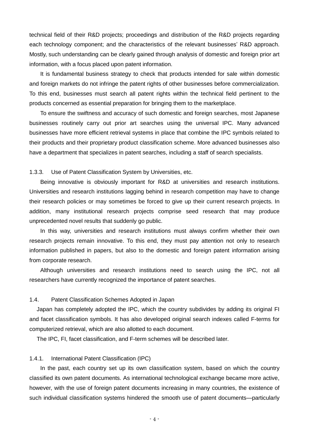technical field of their R&D projects; proceedings and distribution of the R&D projects regarding each technology component; and the characteristics of the relevant businesses' R&D approach. Mostly, such understanding can be clearly gained through analysis of domestic and foreign prior art information, with a focus placed upon patent information.

It is fundamental business strategy to check that products intended for sale within domestic and foreign markets do not infringe the patent rights of other businesses before commercialization. To this end, businesses must search all patent rights within the technical field pertinent to the products concerned as essential preparation for bringing them to the marketplace.

To ensure the swiftness and accuracy of such domestic and foreign searches, most Japanese businesses routinely carry out prior art searches using the universal IPC. Many advanced businesses have more efficient retrieval systems in place that combine the IPC symbols related to their products and their proprietary product classification scheme. More advanced businesses also have a department that specializes in patent searches, including a staff of search specialists.

1.3.3. Use of Patent Classification System by Universities, etc.

Being innovative is obviously important for R&D at universities and research institutions. Universities and research institutions lagging behind in research competition may have to change their research policies or may sometimes be forced to give up their current research projects. In addition, many institutional research projects comprise seed research that may produce unprecedented novel results that suddenly go public.

In this way, universities and research institutions must always confirm whether their own research projects remain innovative. To this end, they must pay attention not only to research information published in papers, but also to the domestic and foreign patent information arising from corporate research.

Although universities and research institutions need to search using the IPC, not all researchers have currently recognized the importance of patent searches.

# <span id="page-5-0"></span>1.4. Patent Classification Schemes Adopted in Japan

Japan has completely adopted the IPC, which the country subdivides by adding its original FI and facet classification symbols. It has also developed original search indexes called F-terms for computerized retrieval, which are also allotted to each document.

The IPC, FI, facet classification, and F-term schemes will be described later.

#### 1.4.1. International Patent Classification (IPC)

In the past, each country set up its own classification system, based on which the country classified its own patent documents. As international technological exchange became more active, however, with the use of foreign patent documents increasing in many countries, the existence of such individual classification systems hindered the smooth use of patent documents—particularly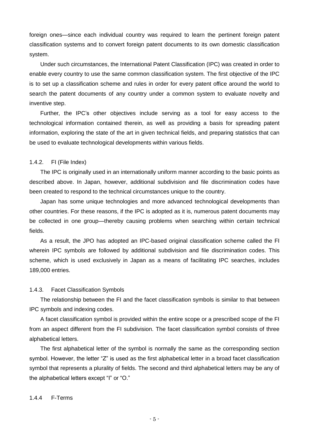foreign ones—since each individual country was required to learn the pertinent foreign patent classification systems and to convert foreign patent documents to its own domestic classification system.

Under such circumstances, the International Patent Classification (IPC) was created in order to enable every country to use the same common classification system. The first objective of the IPC is to set up a classification scheme and rules in order for every patent office around the world to search the patent documents of any country under a common system to evaluate novelty and inventive step.

Further, the IPC's other objectives include serving as a tool for easy access to the technological information contained therein, as well as providing a basis for spreading patent information, exploring the state of the art in given technical fields, and preparing statistics that can be used to evaluate technological developments within various fields.

#### 1.4.2. FI (File Index)

The IPC is originally used in an internationally uniform manner according to the basic points as described above. In Japan, however, additional subdivision and file discrimination codes have been created to respond to the technical circumstances unique to the country.

Japan has some unique technologies and more advanced technological developments than other countries. For these reasons, if the IPC is adopted as it is, numerous patent documents may be collected in one group—thereby causing problems when searching within certain technical fields.

As a result, the JPO has adopted an IPC-based original classification scheme called the FI wherein IPC symbols are followed by additional subdivision and file discrimination codes. This scheme, which is used exclusively in Japan as a means of facilitating IPC searches, includes 189,000 entries.

#### 1.4.3. Facet Classification Symbols

The relationship between the FI and the facet classification symbols is similar to that between IPC symbols and indexing codes.

A facet classification symbol is provided within the entire scope or a prescribed scope of the FI from an aspect different from the FI subdivision. The facet classification symbol consists of three alphabetical letters.

The first alphabetical letter of the symbol is normally the same as the corresponding section symbol. However, the letter "Z" is used as the first alphabetical letter in a broad facet classification symbol that represents a plurality of fields. The second and third alphabetical letters may be any of the alphabetical letters except "I" or "O."

#### 1.4.4 F-Terms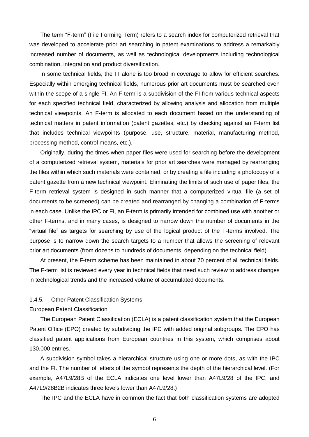The term "F-term" (File Forming Term) refers to a search index for computerized retrieval that was developed to accelerate prior art searching in patent examinations to address a remarkably increased number of documents, as well as technological developments including technological combination, integration and product diversification.

In some technical fields, the FI alone is too broad in coverage to allow for efficient searches. Especially within emerging technical fields, numerous prior art documents must be searched even within the scope of a single FI. An F-term is a subdivision of the FI from various technical aspects for each specified technical field, characterized by allowing analysis and allocation from multiple technical viewpoints. An F-term is allocated to each document based on the understanding of technical matters in patent information (patent gazettes, etc.) by checking against an F-term list that includes technical viewpoints (purpose, use, structure, material, manufacturing method, processing method, control means, etc.).

Originally, during the times when paper files were used for searching before the development of a computerized retrieval system, materials for prior art searches were managed by rearranging the files within which such materials were contained, or by creating a file including a photocopy of a patent gazette from a new technical viewpoint. Eliminating the limits of such use of paper files, the F-term retrieval system is designed in such manner that a computerized virtual file (a set of documents to be screened) can be created and rearranged by changing a combination of F-terms in each case. Unlike the IPC or FI, an F-term is primarily intended for combined use with another or other F-terms, and in many cases, is designed to narrow down the number of documents in the "virtual file" as targets for searching by use of the logical product of the F-terms involved. The purpose is to narrow down the search targets to a number that allows the screening of relevant prior art documents (from dozens to hundreds of documents, depending on the technical field).

At present, the F-term scheme has been maintained in about 70 percent of all technical fields. The F-term list is reviewed every year in technical fields that need such review to address changes in technological trends and the increased volume of accumulated documents.

#### 1.4.5. Other Patent Classification Systems

#### European Patent Classification

The European Patent Classification (ECLA) is a patent classification system that the European Patent Office (EPO) created by subdividing the IPC with added original subgroups. The EPO has classified patent applications from European countries in this system, which comprises about 130,000 entries.

A subdivision symbol takes a hierarchical structure using one or more dots, as with the IPC and the FI. The number of letters of the symbol represents the depth of the hierarchical level. (For example, A47L9/28B of the ECLA indicates one level lower than A47L9/28 of the IPC, and A47L9/28B2B indicates three levels lower than A47L9/28.)

The IPC and the ECLA have in common the fact that both classification systems are adopted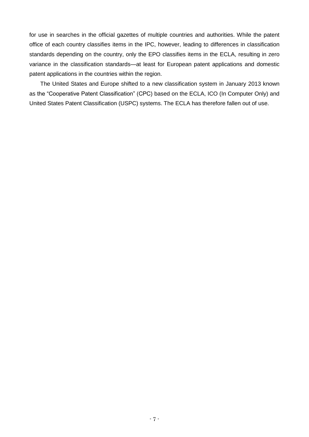for use in searches in the official gazettes of multiple countries and authorities. While the patent office of each country classifies items in the IPC, however, leading to differences in classification standards depending on the country, only the EPO classifies items in the ECLA, resulting in zero variance in the classification standards—at least for European patent applications and domestic patent applications in the countries within the region.

The United States and Europe shifted to a new classification system in January 2013 known as the "Cooperative Patent Classification" (CPC) based on the ECLA, ICO (In Computer Only) and United States Patent Classification (USPC) systems. The ECLA has therefore fallen out of use.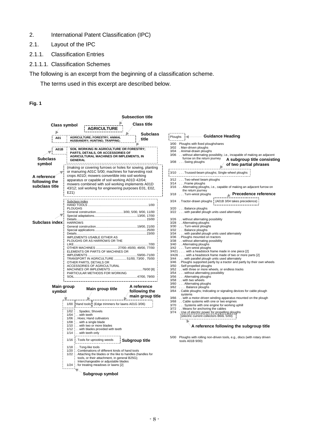- <span id="page-9-0"></span>2. International Patent Classification (IPC)
- <span id="page-9-1"></span>2.1. Layout of the IPC
- 2.1.1. Classification Entries
- 2.1.1.1. Classification Schemes

The following is an excerpt from the beginning of a classification scheme.

The terms used in this excerpt are described below.

#### **Fig. 1**

|                                                             |                      |                                                                                              |                |                                                                              |                                                                                    |                                                                                                                                                                                                                                                                            |  | Subsection title                                                                                                                                                                                                                |  |
|-------------------------------------------------------------|----------------------|----------------------------------------------------------------------------------------------|----------------|------------------------------------------------------------------------------|------------------------------------------------------------------------------------|----------------------------------------------------------------------------------------------------------------------------------------------------------------------------------------------------------------------------------------------------------------------------|--|---------------------------------------------------------------------------------------------------------------------------------------------------------------------------------------------------------------------------------|--|
|                                                             | Class symbol         |                                                                                              |                |                                                                              | AGRICULTURE                                                                        |                                                                                                                                                                                                                                                                            |  | <b>Class title</b>                                                                                                                                                                                                              |  |
|                                                             | A01                  |                                                                                              |                |                                                                              |                                                                                    | AGRICULTURE; FORESTRY; ANIMAL<br><u> HUSBANDRY; HUNTING; TRAPPING;</u>                                                                                                                                                                                                     |  | <b>Subclass</b><br>title                                                                                                                                                                                                        |  |
|                                                             | A01 B<br>.           |                                                                                              |                |                                                                              |                                                                                    | SOIL WORKING IN AGRICULTURE OR FORESTRY;<br>PARTS, DETAILS, OR ACCESSORIES OF<br>AGRICULTURAL MACHINES OR IMPLEMENTS, IN                                                                                                                                                   |  |                                                                                                                                                                                                                                 |  |
| <b>Subclass</b><br>symbol                                   |                      |                                                                                              | <b>GENERAL</b> |                                                                              |                                                                                    |                                                                                                                                                                                                                                                                            |  |                                                                                                                                                                                                                                 |  |
| A reference <sup>.</sup><br>following the<br>subclass title |                      | E21)                                                                                         |                |                                                                              |                                                                                    | crops A01D; mowers convertible into soil working<br>apparatus or capable of soil working A01D 42/04;                                                                                                                                                                       |  | (making or covering furrows or holes for sowing, planting<br>or manuring A01C 5/00; machines for harvesting root<br>mowers combined with soil working implements A01D<br>43/12; soil working for engineering purposes E01, E02, |  |
| Subclass index                                              |                      | Subclass index<br>HAND TOOLS<br><b>PLOUGHS</b><br><b>HARROWS</b>                             |                |                                                                              |                                                                                    |                                                                                                                                                                                                                                                                            |  | . 1/00<br>General construction 3/00, 5/00, 9/00, 11/00                                                                                                                                                                          |  |
|                                                             |                      |                                                                                              |                |                                                                              | IMPLEMENTS USABLE EITHER AS                                                        | PLOUGHS OR AS HARROWS OR THE<br>ELEMENTS OR PARTS OF MACHINES OR                                                                                                                                                                                                           |  | OTHER MACHINES  27/00-45/00, 49/00, 77/00                                                                                                                                                                                       |  |
|                                                             |                      |                                                                                              |                |                                                                              | OTHER PARTS, DETAILS OR                                                            | ACCESSORIES OF AGRICULTURAL<br>PARTICULAR METHODS FOR WORKING                                                                                                                                                                                                              |  | TRANSPORT IN AGRICULTURE  51/00, 73/00, 75/00                                                                                                                                                                                   |  |
|                                                             | Main group<br>symbol |                                                                                              |                |                                                                              | Main group title                                                                   |                                                                                                                                                                                                                                                                            |  | A reference<br>following the                                                                                                                                                                                                    |  |
|                                                             |                      | 1/02<br>1/04<br>$1/06$ :<br>1/08<br>1/10<br>1/12<br>1/14<br>1/16<br>1/18<br>$1/20$ :<br>1/24 | with teeth     | Spades; Shovels<br>with a single blade<br>with teeth only<br>Tong-like tools | . Hoes; Hand cultivators<br>with two or more blades<br>. Tools for uprooting weeds | 1/00 Hand tools: (Edge trimmers for lawns A01G 3/06)<br>with blades provided with teeth<br>. Combinations of different kinds of hand tools<br>tools, or their attachment, in general B25G);<br>Interchangeable or adjustable blades<br>. for treating meadows or lawns [2] |  | main group title<br>Subgroup title<br>1/22 : Attaching the blades or the like to handles (handles for                                                                                                                           |  |
|                                                             |                      |                                                                                              |                |                                                                              | Subgroup symbol                                                                    |                                                                                                                                                                                                                                                                            |  |                                                                                                                                                                                                                                 |  |

| i. ( Guidance Heading<br>Ploughs                                                                                                                                                                            |
|-------------------------------------------------------------------------------------------------------------------------------------------------------------------------------------------------------------|
| 3/00 Ploughs with fixed ploughshares<br>3/02 . Man-driven ploughs                                                                                                                                           |
| 3/04 . Animal-drawn ploughs                                                                                                                                                                                 |
| 3/06 without alternating possibility, i.e., incapable of making an adjacent                                                                                                                                 |
| furrow on the return journey<br>A subgroup title consisting                                                                                                                                                 |
| 3/08 Swing ploughs                                                                                                                                                                                          |
| of two partial phrases                                                                                                                                                                                      |
|                                                                                                                                                                                                             |
| 3/10  Trussed-beam ploughs; Single-wheel ploughs                                                                                                                                                            |
|                                                                                                                                                                                                             |
| 3/12 Two-wheel beam ploughs                                                                                                                                                                                 |
| 3/14 Frame ploughs                                                                                                                                                                                          |
| 3/16 . Alternating ploughs, i.e., capable of making an adjacent furrow on<br>the return journey                                                                                                             |
| 3/18 Turn-wrest ploughs                                                                                                                                                                                     |
| $\blacktriangle$ Precedence reference                                                                                                                                                                       |
| 3/24 . Tractor-drawn ploughs : (A01B 3/04 takes precedence)                                                                                                                                                 |
|                                                                                                                                                                                                             |
| 3/20 Balance ploughs                                                                                                                                                                                        |
| 3/22 with parallel plough units used alternately                                                                                                                                                            |
|                                                                                                                                                                                                             |
| 3/26 . without alternating possibility                                                                                                                                                                      |
| 3/28 . Alternating ploughs                                                                                                                                                                                  |
| 3/30 Turn-wrest ploughs                                                                                                                                                                                     |
| 3/32  Balance ploughs<br>3/34  with parallel plough units used alternately                                                                                                                                  |
|                                                                                                                                                                                                             |
| 3/36 . Ploughs mounted on tractors                                                                                                                                                                          |
| 3/38 without alternating possibility                                                                                                                                                                        |
| 3/40 . Alternating ploughs                                                                                                                                                                                  |
| 3/42 Turn-wrest ploughs                                                                                                                                                                                     |
| 3/421 with a headstock frame made in one piece [2]                                                                                                                                                          |
| 3/426 with a headstock frame made of two or more parts [2]                                                                                                                                                  |
| 3/44 with parallel plough units used alternately                                                                                                                                                            |
| 3/46 . Ploughs supported partly by a tractor and partly by their own wheels                                                                                                                                 |
| 3/50 . Self-propelled ploughs                                                                                                                                                                               |
| 3/52 with three or more wheels, or endless tracks                                                                                                                                                           |
| 3/54 without alternating possibility                                                                                                                                                                        |
| 3/56 Alternating ploughs                                                                                                                                                                                    |
| 3/58 with two wheels                                                                                                                                                                                        |
| 3/60 Alternating ploughs                                                                                                                                                                                    |
| 3/62 Balance ploughs                                                                                                                                                                                        |
| 3/64 . Cable ploughs; Indicating or signaling devices for cable plough<br>systems                                                                                                                           |
| 3/66 . with a motor-driven winding apparatus mounted on the plough                                                                                                                                          |
| 3/68 Cable systems with one or two engines                                                                                                                                                                  |
| Systems with one engine for working uphill<br>3/70                                                                                                                                                          |
| Means for anchoring the cables<br>3/72                                                                                                                                                                      |
| 3/74                                                                                                                                                                                                        |
| Use of electric power for propelling ploughs<br>  (electric current collectors B60L 5/00)<br>  immunitions below the state of the state of the state of the state of the state of the state of the state of |
|                                                                                                                                                                                                             |
|                                                                                                                                                                                                             |
| $\blacktriangleright$ A reference following the subgroup title                                                                                                                                              |

5/00 Ploughs with rolling non-driven tools, e.g., discs (with rotary driven tools A01B 9/00)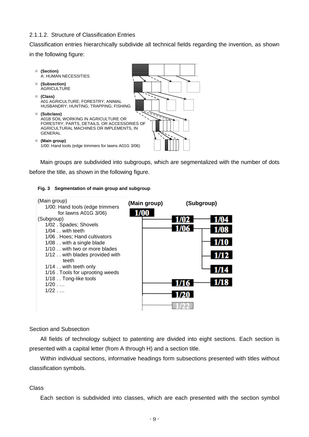#### 2.1.1.2. Structure of Classification Entries

Classification entries hierarchically subdivide all technical fields regarding the invention, as shown in the following figure:



Main groups are subdivided into subgroups, which are segmentalized with the number of dots before the title, as shown in the following figure.

#### **Fig. 3 Segmentation of main group and subgroup**



#### Section and Subsection

All fields of technology subject to patenting are divided into eight sections. Each section is presented with a capital letter (from A through H) and a section title.

Within individual sections, informative headings form subsections presented with titles without classification symbols.

#### Class

Each section is subdivided into classes, which are each presented with the section symbol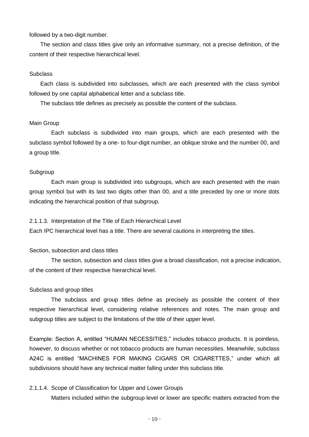#### followed by a two-digit number.

The section and class titles give only an informative summary, not a precise definition, of the content of their respective hierarchical level.

#### **Subclass**

Each class is subdivided into subclasses, which are each presented with the class symbol followed by one capital alphabetical letter and a subclass title.

The subclass title defines as precisely as possible the content of the subclass.

#### Main Group

Each subclass is subdivided into main groups, which are each presented with the subclass symbol followed by a one- to four-digit number, an oblique stroke and the number 00, and a group title.

#### Subgroup

Each main group is subdivided into subgroups, which are each presented with the main group symbol but with its last two digits other than 00, and a title preceded by one or more dots indicating the hierarchical position of that subgroup.

#### 2.1.1.3. Interpretation of the Title of Each Hierarchical Level

Each IPC hierarchical level has a title. There are several cautions in interpreting the titles.

#### Section, subsection and class titles

The section, subsection and class titles give a broad classification, not a precise indication, of the content of their respective hierarchical level.

#### Subclass and group titles

The subclass and group titles define as precisely as possible the content of their respective hierarchical level, considering relative references and notes. The main group and subgroup titles are subject to the limitations of the title of their upper level.

Example: Section A, entitled "HUMAN NECESSITIES," includes tobacco products. It is pointless, however, to discuss whether or not tobacco products are human necessities. Meanwhile, subclass A24C is entitled "MACHINES FOR MAKING CIGARS OR CIGARETTES," under which all subdivisions should have any technical matter falling under this subclass title.

#### 2.1.1.4. Scope of Classification for Upper and Lower Groups

Matters included within the subgroup level or lower are specific matters extracted from the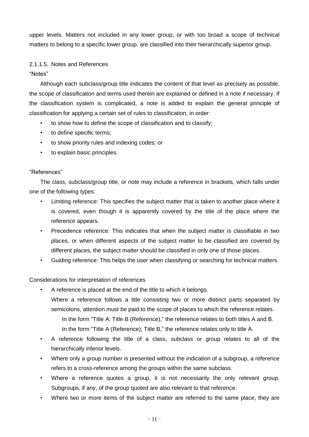upper levels. Matters not included in any lower group, or with too broad a scope of technical matters to belong to a specific lower group, are classified into their hierarchically superior group.

# 2.1.1.5. Notes and References

"Notes"

Although each subclass/group title indicates the content of that level as precisely as possible, the scope of classification and terms used therein are explained or defined in a note if necessary. If the classification system is complicated, a note is added to explain the general principle of classification for applying a certain set of rules to classification, in order:

- to show how to define the scope of classification and to classify;
- to define specific terms;
- to show priority rules and indexing codes; or
- to explain basic principles.

# "References"

The class, subclass/group title, or note may include a reference in brackets, which falls under one of the following types:

- Limiting reference: This specifies the subject matter that is taken to another place where it is covered, even though it is apparently covered by the title of the place where the reference appears.
- Precedence reference: This indicates that when the subject matter is classifiable in two places, or when different aspects of the subject matter to be classified are covered by different places, the subject matter should be classified in only one of those places.
- Guiding reference: This helps the user when classifying or searching for technical matters.

# Considerations for interpretation of references

- A reference is placed at the end of the title to which it belongs. Where a reference follows a title consisting two or more distinct parts separated by semicolons, attention must be paid to the scope of places to which the reference relates. In the form "Title A; Title B (Reference)," the reference relates to both titles A and B. In the form "Title A (Reference); Title B," the reference relates only to title A.
- A reference following the title of a class, subclass or group relates to all of the hierarchically inferior levels.
- Where only a group number is presented without the indication of a subgroup, a reference refers to a cross-reference among the groups within the same subclass.
- Where a reference quotes a group, it is not necessarily the only relevant group. Subgroups, if any, of the group quoted are also relevant to that reference.
- Where two or more items of the subject matter are referred to the same place, they are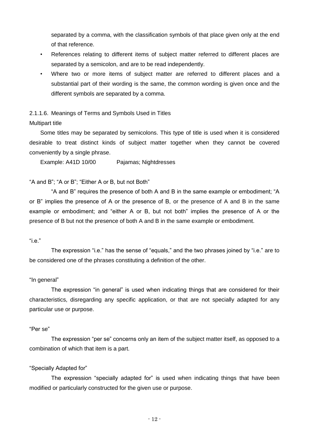separated by a comma, with the classification symbols of that place given only at the end of that reference.

- References relating to different items of subject matter referred to different places are separated by a semicolon, and are to be read independently.
- Where two or more items of subject matter are referred to different places and a substantial part of their wording is the same, the common wording is given once and the different symbols are separated by a comma.

# 2.1.1.6. Meanings of Terms and Symbols Used in Titles

#### Multipart title

Some titles may be separated by semicolons. This type of title is used when it is considered desirable to treat distinct kinds of subject matter together when they cannot be covered conveniently by a single phrase.

Example: A41D 10/00 Pajamas; Nightdresses

# "A and B"; "A or B"; "Either A or B, but not Both"

"A and B" requires the presence of both A and B in the same example or embodiment; "A or B" implies the presence of A or the presence of B, or the presence of A and B in the same example or embodiment; and "either A or B, but not both" implies the presence of A or the presence of B but not the presence of both A and B in the same example or embodiment.

#### "i.e."

The expression "i.e." has the sense of "equals," and the two phrases joined by "i.e." are to be considered one of the phrases constituting a definition of the other.

# "In general"

The expression "in general" is used when indicating things that are considered for their characteristics, disregarding any specific application, or that are not specially adapted for any particular use or purpose.

#### "Per se"

The expression "per se" concerns only an item of the subject matter itself, as opposed to a combination of which that item is a part.

#### "Specially Adapted for"

The expression "specially adapted for" is used when indicating things that have been modified or particularly constructed for the given use or purpose.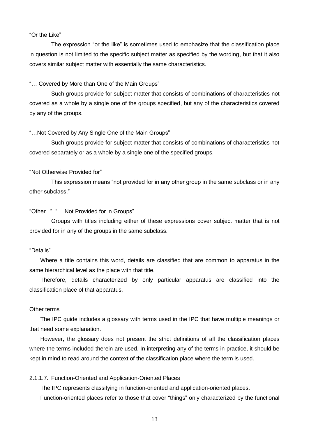#### "Or the Like"

The expression "or the like" is sometimes used to emphasize that the classification place in question is not limited to the specific subject matter as specified by the wording, but that it also covers similar subject matter with essentially the same characteristics.

#### "… Covered by More than One of the Main Groups"

Such groups provide for subject matter that consists of combinations of characteristics not covered as a whole by a single one of the groups specified, but any of the characteristics covered by any of the groups.

#### "…Not Covered by Any Single One of the Main Groups"

Such groups provide for subject matter that consists of combinations of characteristics not covered separately or as a whole by a single one of the specified groups.

#### "Not Otherwise Provided for"

This expression means "not provided for in any other group in the same subclass or in any other subclass."

#### "Other..."; "… Not Provided for in Groups"

Groups with titles including either of these expressions cover subject matter that is not provided for in any of the groups in the same subclass.

#### "Details"

Where a title contains this word, details are classified that are common to apparatus in the same hierarchical level as the place with that title.

Therefore, details characterized by only particular apparatus are classified into the classification place of that apparatus.

# Other terms

The IPC guide includes a glossary with terms used in the IPC that have multiple meanings or that need some explanation.

However, the glossary does not present the strict definitions of all the classification places where the terms included therein are used. In interpreting any of the terms in practice, it should be kept in mind to read around the context of the classification place where the term is used.

#### 2.1.1.7. Function-Oriented and Application-Oriented Places

The IPC represents classifying in function-oriented and application-oriented places. Function-oriented places refer to those that cover "things" only characterized by the functional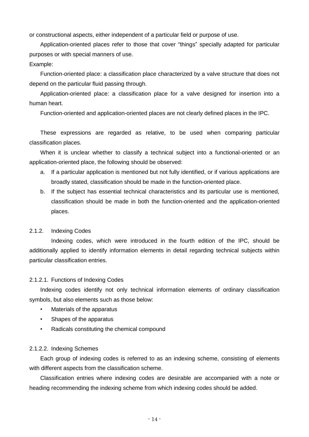or constructional aspects, either independent of a particular field or purpose of use.

Application-oriented places refer to those that cover "things" specially adapted for particular purposes or with special manners of use.

### Example:

Function-oriented place: a classification place characterized by a valve structure that does not depend on the particular fluid passing through.

Application-oriented place: a classification place for a valve designed for insertion into a human heart.

Function-oriented and application-oriented places are not clearly defined places in the IPC.

These expressions are regarded as relative, to be used when comparing particular classification places.

When it is unclear whether to classify a technical subject into a functional-oriented or an application-oriented place, the following should be observed:

- a. If a particular application is mentioned but not fully identified, or if various applications are broadly stated, classification should be made in the function-oriented place.
- b. If the subject has essential technical characteristics and its particular use is mentioned, classification should be made in both the function-oriented and the application-oriented places.

#### 2.1.2. Indexing Codes

Indexing codes, which were introduced in the fourth edition of the IPC, should be additionally applied to identify information elements in detail regarding technical subjects within particular classification entries.

#### 2.1.2.1. Functions of Indexing Codes

Indexing codes identify not only technical information elements of ordinary classification symbols, but also elements such as those below:

- Materials of the apparatus
- Shapes of the apparatus
- Radicals constituting the chemical compound

#### 2.1.2.2. Indexing Schemes

Each group of indexing codes is referred to as an indexing scheme, consisting of elements with different aspects from the classification scheme.

Classification entries where indexing codes are desirable are accompanied with a note or heading recommending the indexing scheme from which indexing codes should be added.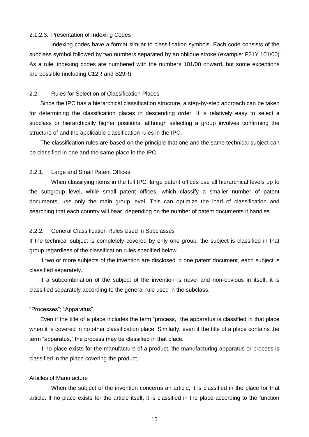#### 2.1.2.3. Presentation of Indexing Codes

Indexing codes have a format similar to classification symbols. Each code consists of the subclass symbol followed by two numbers separated by an oblique stroke (example: F21Y 101/00). As a rule, indexing codes are numbered with the numbers 101/00 onward, but some exceptions are possible (including C12R and B29R).

### <span id="page-16-0"></span>2.2. Rules for Selection of Classification Places

Since the IPC has a hierarchical classification structure, a step-by-step approach can be taken for determining the classification places in descending order. It is relatively easy to select a subclass or hierarchically higher positions, although selecting a group involves confirming the structure of and the applicable classification rules in the IPC.

The classification rules are based on the principle that one and the same technical subject can be classified in one and the same place in the IPC.

#### 2.2.1. Large and Small Patent Offices

When classifying items in the full IPC, large patent offices use all hierarchical levels up to the subgroup level, while small patent offices, which classify a smaller number of patent documents, use only the main group level. This can optimize the load of classification and searching that each country will bear, depending on the number of patent documents it handles.

#### 2.2.2. General Classification Rules Used in Subclasses

If the technical subject is completely covered by only one group, the subject is classified in that group regardless of the classification rules specified below.

If two or more subjects of the invention are disclosed in one patent document, each subject is classified separately.

If a subcombination of the subject of the invention is novel and non-obvious in itself, it is classified separately according to the general rule used in the subclass.

#### "Processes"; "Apparatus"

Even if the title of a place includes the term "process," the apparatus is classified in that place when it is covered in no other classification place. Similarly, even if the title of a place contains the term "apparatus," the process may be classified in that place.

If no place exists for the manufacture of a product, the manufacturing apparatus or process is classified in the place covering the product.

#### Articles of Manufacture

When the subject of the invention concerns an article, it is classified in the place for that article. If no place exists for the article itself, it is classified in the place according to the function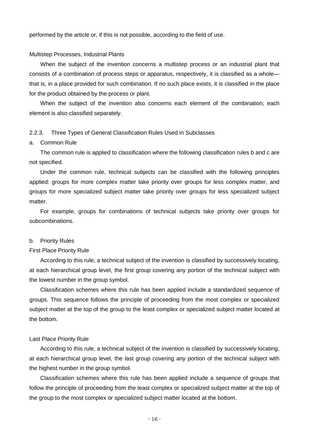performed by the article or, if this is not possible, according to the field of use.

#### Multistep Processes, Industrial Plants

When the subject of the invention concerns a multistep process or an industrial plant that consists of a combination of process steps or apparatus, respectively, it is classified as a whole that is, in a place provided for such combination. If no such place exists, it is classified in the place for the product obtained by the process or plant.

When the subject of the invention also concerns each element of the combination, each element is also classified separately.

#### 2.2.3. Three Types of General Classification Rules Used in Subclasses

#### a. Common Rule

The common rule is applied to classification where the following classification rules b and c are not specified.

Under the common rule, technical subjects can be classified with the following principles applied: groups for more complex matter take priority over groups for less complex matter, and groups for more specialized subject matter take priority over groups for less specialized subject matter.

For example, groups for combinations of technical subjects take priority over groups for subcombinations.

#### b. Priority Rules

#### First Place Priority Rule

According to this rule, a technical subject of the invention is classified by successively locating, at each hierarchical group level, the first group covering any portion of the technical subject with the lowest number in the group symbol.

Classification schemes where this rule has been applied include a standardized sequence of groups. This sequence follows the principle of proceeding from the most complex or specialized subject matter at the top of the group to the least complex or specialized subject matter located at the bottom.

#### Last Place Priority Rule

According to this rule, a technical subject of the invention is classified by successively locating, at each hierarchical group level, the last group covering any portion of the technical subject with the highest number in the group symbol.

Classification schemes where this rule has been applied include a sequence of groups that follow the principle of proceeding from the least complex or specialized subject matter at the top of the group to the most complex or specialized subject matter located at the bottom.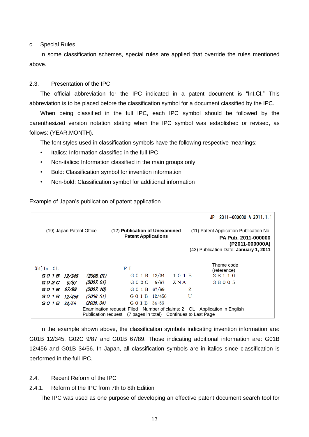c. Special Rules

In some classification schemes, special rules are applied that override the rules mentioned above.

#### <span id="page-18-0"></span>2.3. Presentation of the IPC

The official abbreviation for the IPC indicated in a patent document is "Int.Cl." This abbreviation is to be placed before the classification symbol for a document classified by the IPC.

When being classified in the full IPC, each IPC symbol should be followed by the parenthesized version notation stating when the IPC symbol was established or revised, as follows: (YEAR.MONTH).

The font styles used in classification symbols have the following respective meanings:

- Italics: Information classified in the full IPC
- Non-italics: Information classified in the main groups only
- Bold: Classification symbol for invention information
- Non-bold: Classification symbol for additional information

Example of Japan's publication of patent application

|                          |             |            |                                                                                                                                           |      |      |                                                                                                                                    | JP | 2011-000000 A 2011.1.1   |  |  |  |  |
|--------------------------|-------------|------------|-------------------------------------------------------------------------------------------------------------------------------------------|------|------|------------------------------------------------------------------------------------------------------------------------------------|----|--------------------------|--|--|--|--|
| (19) Japan Patent Office |             |            | (12) Publication of Unexamined<br><b>Patent Applications</b>                                                                              |      |      | (11) Patent Application Publication No.<br><b>PA Pub. 2011-000000</b><br>(P2011-000000A)<br>(43) Publication Date: January 1, 2011 |    |                          |  |  |  |  |
| $(51)$ Int. C1.          |             |            | F <sub>I</sub>                                                                                                                            |      |      |                                                                                                                                    |    | Theme code               |  |  |  |  |
| GO 1 B 12/345            |             | (2006. 01) | G 0 1 B 12/34                                                                                                                             |      | 101B |                                                                                                                                    |    | (reference)<br>2 E 1 1 0 |  |  |  |  |
| G 0 2 C                  | <i>9/87</i> | (2007. 01) | G 0 2 C                                                                                                                                   | 9/87 | ZNA  |                                                                                                                                    |    | 3 B 0 0 5                |  |  |  |  |
| GO 1 B 67/89             |             | (2007. 10) | G 0 1 B 67/89                                                                                                                             |      |      | z                                                                                                                                  |    |                          |  |  |  |  |
| G 0 1 B                  | 12/456      | (2006. 01) | G 0 1 B 12/456                                                                                                                            |      |      | U                                                                                                                                  |    |                          |  |  |  |  |
| G 0 1 B                  | 34/56       | (2008, 04) | G 0 1 B 34:56                                                                                                                             |      |      |                                                                                                                                    |    |                          |  |  |  |  |
|                          |             |            | Examination request: Filed Number of claims: 2 OL Application in English<br>Publication request (7 pages in total) Continues to Last Page |      |      |                                                                                                                                    |    |                          |  |  |  |  |

In the example shown above, the classification symbols indicating invention information are: G01B 12/345, G02C 9/87 and G01B 67/89. Those indicating additional information are: G01B 12/456 and G01B 34/56. In Japan, all classification symbols are in italics since classification is performed in the full IPC.

#### <span id="page-18-1"></span>2.4. Recent Reform of the IPC

2.4.1. Reform of the IPC from 7th to 8th Edition

The IPC was used as one purpose of developing an effective patent document search tool for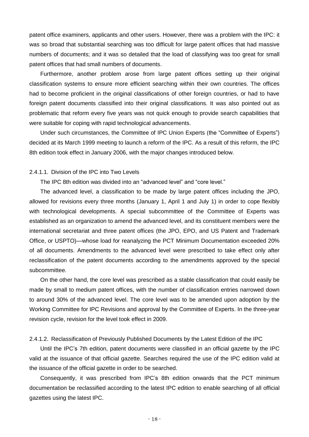patent office examiners, applicants and other users. However, there was a problem with the IPC: it was so broad that substantial searching was too difficult for large patent offices that had massive numbers of documents; and it was so detailed that the load of classifying was too great for small patent offices that had small numbers of documents.

Furthermore, another problem arose from large patent offices setting up their original classification systems to ensure more efficient searching within their own countries. The offices had to become proficient in the original classifications of other foreign countries, or had to have foreign patent documents classified into their original classifications. It was also pointed out as problematic that reform every five years was not quick enough to provide search capabilities that were suitable for coping with rapid technological advancements.

Under such circumstances, the Committee of IPC Union Experts (the "Committee of Experts") decided at its March 1999 meeting to launch a reform of the IPC. As a result of this reform, the IPC 8th edition took effect in January 2006, with the major changes introduced below.

#### 2.4.1.1. Division of the IPC into Two Levels

The IPC 8th edition was divided into an "advanced level" and "core level."

The advanced level, a classification to be made by large patent offices including the JPO, allowed for revisions every three months (January 1, April 1 and July 1) in order to cope flexibly with technological developments. A special subcommittee of the Committee of Experts was established as an organization to amend the advanced level, and its constituent members were the international secretariat and three patent offices (the JPO, EPO, and US Patent and Trademark Office, or USPTO)—whose load for reanalyzing the PCT Minimum Documentation exceeded 20% of all documents. Amendments to the advanced level were prescribed to take effect only after reclassification of the patent documents according to the amendments approved by the special subcommittee.

On the other hand, the core level was prescribed as a stable classification that could easily be made by small to medium patent offices, with the number of classification entries narrowed down to around 30% of the advanced level. The core level was to be amended upon adoption by the Working Committee for IPC Revisions and approval by the Committee of Experts. In the three-year revision cycle, revision for the level took effect in 2009.

#### 2.4.1.2. Reclassification of Previously Published Documents by the Latest Edition of the IPC

Until the IPC's 7th edition, patent documents were classified in an official gazette by the IPC valid at the issuance of that official gazette. Searches required the use of the IPC edition valid at the issuance of the official gazette in order to be searched.

Consequently, it was prescribed from IPC's 8th edition onwards that the PCT minimum documentation be reclassified according to the latest IPC edition to enable searching of all official gazettes using the latest IPC.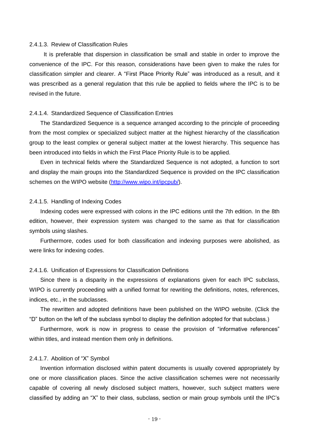#### 2.4.1.3. Review of Classification Rules

 It is preferable that dispersion in classification be small and stable in order to improve the convenience of the IPC. For this reason, considerations have been given to make the rules for classification simpler and clearer. A "First Place Priority Rule" was introduced as a result, and it was prescribed as a general regulation that this rule be applied to fields where the IPC is to be revised in the future.

#### 2.4.1.4. Standardized Sequence of Classification Entries

The Standardized Sequence is a sequence arranged according to the principle of proceeding from the most complex or specialized subject matter at the highest hierarchy of the classification group to the least complex or general subject matter at the lowest hierarchy. This sequence has been introduced into fields in which the First Place Priority Rule is to be applied.

Even in technical fields where the Standardized Sequence is not adopted, a function to sort and display the main groups into the Standardized Sequence is provided on the IPC classification schemes on the WIPO website [\(http://www.wipo.int/ipcpub/\)](http://www.wipo.int/ipcpub/).

#### 2.4.1.5. Handling of Indexing Codes

Indexing codes were expressed with colons in the IPC editions until the 7th edition. In the 8th edition, however, their expression system was changed to the same as that for classification symbols using slashes.

Furthermore, codes used for both classification and indexing purposes were abolished, as were links for indexing codes.

#### 2.4.1.6. Unification of Expressions for Classification Definitions

Since there is a disparity in the expressions of explanations given for each IPC subclass, WIPO is currently proceeding with a unified format for rewriting the definitions, notes, references, indices, etc., in the subclasses.

The rewritten and adopted definitions have been published on the WIPO website. (Click the "D" button on the left of the subclass symbol to display the definition adopted for that subclass.)

Furthermore, work is now in progress to cease the provision of "informative references" within titles, and instead mention them only in definitions.

#### 2.4.1.7. Abolition of "X" Symbol

Invention information disclosed within patent documents is usually covered appropriately by one or more classification places. Since the active classification schemes were not necessarily capable of covering all newly disclosed subject matters, however, such subject matters were classified by adding an "X" to their class, subclass, section or main group symbols until the IPC's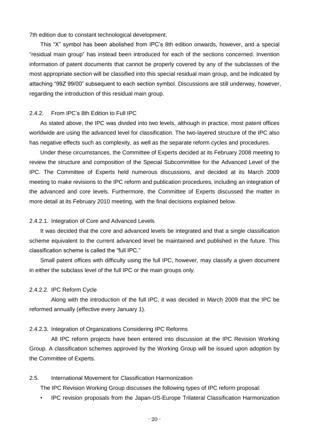7th edition due to constant technological development.

This "X" symbol has been abolished from IPC's 8th edition onwards, however, and a special "residual main group" has instead been introduced for each of the sections concerned. Invention information of patent documents that cannot be properly covered by any of the subclasses of the most appropriate section will be classified into this special residual main group, and be indicated by attaching "99Z 99/00" subsequent to each section symbol. Discussions are still underway, however, regarding the introduction of this residual main group.

#### 2.4.2. From IPC's 8th Edition to Full IPC

As stated above, the IPC was divided into two levels, although in practice, most patent offices worldwide are using the advanced level for classification. The two-layered structure of the IPC also has negative effects such as complexity, as well as the separate reform cycles and procedures.

Under these circumstances, the Committee of Experts decided at its February 2008 meeting to review the structure and composition of the Special Subcommittee for the Advanced Level of the IPC. The Committee of Experts held numerous discussions, and decided at its March 2009 meeting to make revisions to the IPC reform and publication procedures, including an integration of the advanced and core levels. Furthermore, the Committee of Experts discussed the matter in more detail at its February 2010 meeting, with the final decisions explained below.

#### 2.4.2.1. Integration of Core and Advanced Levels

It was decided that the core and advanced levels be integrated and that a single classification scheme equivalent to the current advanced level be maintained and published in the future. This classification scheme is called the "full IPC."

Small patent offices with difficulty using the full IPC, however, may classify a given document in either the subclass level of the full IPC or the main groups only.

#### 2.4.2.2. IPC Reform Cycle

Along with the introduction of the full IPC, it was decided in March 2009 that the IPC be reformed annually (effective every January 1).

#### 2.4.2.3. Integration of Organizations Considering IPC Reforms

All IPC reform projects have been entered into discussion at the IPC Revision Working Group. A classification schemes approved by the Working Group will be issued upon adoption by the Committee of Experts.

#### <span id="page-21-0"></span>2.5. International Movement for Classification Harmonization

The IPC Revision Working Group discusses the following types of IPC reform proposal:

• IPC revision proposals from the Japan-US-Europe Trilateral Classification Harmonization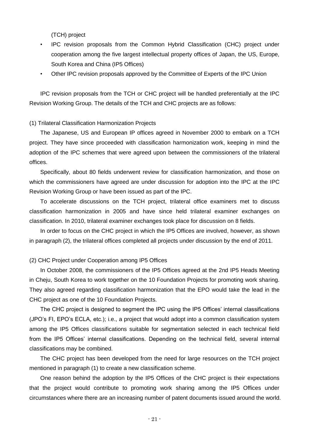(TCH) project

- IPC revision proposals from the Common Hybrid Classification (CHC) project under cooperation among the five largest intellectual property offices of Japan, the US, Europe, South Korea and China (IP5 Offices)
- Other IPC revision proposals approved by the Committee of Experts of the IPC Union

IPC revision proposals from the TCH or CHC project will be handled preferentially at the IPC Revision Working Group. The details of the TCH and CHC projects are as follows:

#### (1) Trilateral Classification Harmonization Projects

The Japanese, US and European IP offices agreed in November 2000 to embark on a TCH project. They have since proceeded with classification harmonization work, keeping in mind the adoption of the IPC schemes that were agreed upon between the commissioners of the trilateral offices.

Specifically, about 80 fields underwent review for classification harmonization, and those on which the commissioners have agreed are under discussion for adoption into the IPC at the IPC Revision Working Group or have been issued as part of the IPC.

To accelerate discussions on the TCH project, trilateral office examiners met to discuss classification harmonization in 2005 and have since held trilateral examiner exchanges on classification. In 2010, trilateral examiner exchanges took place for discussion on 8 fields.

In order to focus on the CHC project in which the IP5 Offices are involved, however, as shown in paragraph (2), the trilateral offices completed all projects under discussion by the end of 2011.

#### (2) CHC Project under Cooperation among IP5 Offices

In October 2008, the commissioners of the IP5 Offices agreed at the 2nd IP5 Heads Meeting in Cheju, South Korea to work together on the 10 Foundation Projects for promoting work sharing. They also agreed regarding classification harmonization that the EPO would take the lead in the CHC project as one of the 10 Foundation Projects.

The CHC project is designed to segment the IPC using the IP5 Offices' internal classifications (JPO's FI, EPO's ECLA, etc.); i.e., a project that would adopt into a common classification system among the IP5 Offices classifications suitable for segmentation selected in each technical field from the IP5 Offices' internal classifications. Depending on the technical field, several internal classifications may be combined.

The CHC project has been developed from the need for large resources on the TCH project mentioned in paragraph (1) to create a new classification scheme.

One reason behind the adoption by the IP5 Offices of the CHC project is their expectations that the project would contribute to promoting work sharing among the IP5 Offices under circumstances where there are an increasing number of patent documents issued around the world.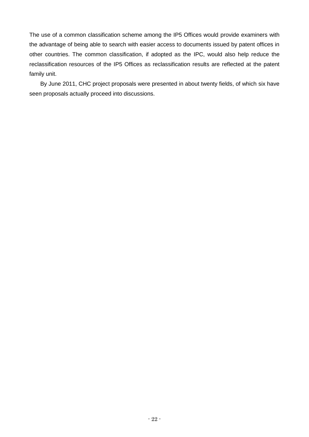The use of a common classification scheme among the IP5 Offices would provide examiners with the advantage of being able to search with easier access to documents issued by patent offices in other countries. The common classification, if adopted as the IPC, would also help reduce the reclassification resources of the IP5 Offices as reclassification results are reflected at the patent family unit.

By June 2011, CHC project proposals were presented in about twenty fields, of which six have seen proposals actually proceed into discussions.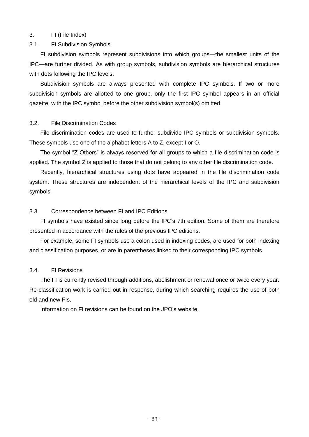#### <span id="page-24-0"></span>3. FI (File Index)

#### <span id="page-24-1"></span>3.1. FI Subdivision Symbols

FI subdivision symbols represent subdivisions into which groups—the smallest units of the IPC—are further divided. As with group symbols, subdivision symbols are hierarchical structures with dots following the IPC levels.

Subdivision symbols are always presented with complete IPC symbols. If two or more subdivision symbols are allotted to one group, only the first IPC symbol appears in an official gazette, with the IPC symbol before the other subdivision symbol(s) omitted.

#### <span id="page-24-2"></span>3.2. File Discrimination Codes

File discrimination codes are used to further subdivide IPC symbols or subdivision symbols. These symbols use one of the alphabet letters A to Z, except I or O.

The symbol "Z Others" is always reserved for all groups to which a file discrimination code is applied. The symbol Z is applied to those that do not belong to any other file discrimination code.

Recently, hierarchical structures using dots have appeared in the file discrimination code system. These structures are independent of the hierarchical levels of the IPC and subdivision symbols.

#### <span id="page-24-3"></span>3.3. Correspondence between FI and IPC Editions

FI symbols have existed since long before the IPC's 7th edition. Some of them are therefore presented in accordance with the rules of the previous IPC editions.

For example, some FI symbols use a colon used in indexing codes, are used for both indexing and classification purposes, or are in parentheses linked to their corresponding IPC symbols.

#### <span id="page-24-4"></span>3.4. FI Revisions

The FI is currently revised through additions, abolishment or renewal once or twice every year. Re-classification work is carried out in response, during which searching requires the use of both old and new FIs.

Information on FI revisions can be found on the JPO's website.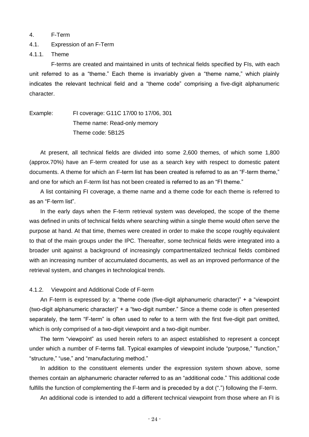#### <span id="page-25-0"></span>4. F-Term

#### <span id="page-25-1"></span>4.1. Expression of an F-Term

4.1.1. Theme

F-terms are created and maintained in units of technical fields specified by FIs, with each unit referred to as a "theme." Each theme is invariably given a "theme name," which plainly indicates the relevant technical field and a "theme code" comprising a five-digit alphanumeric character.

Example: FI coverage: G11C 17/00 to 17/06, 301 Theme name: Read-only memory Theme code: 5B125

At present, all technical fields are divided into some 2,600 themes, of which some 1,800 (approx.70%) have an F-term created for use as a search key with respect to domestic patent documents. A theme for which an F-term list has been created is referred to as an "F-term theme," and one for which an F-term list has not been created is referred to as an "FI theme."

A list containing FI coverage, a theme name and a theme code for each theme is referred to as an "F-term list".

In the early days when the F-term retrieval system was developed, the scope of the theme was defined in units of technical fields where searching within a single theme would often serve the purpose at hand. At that time, themes were created in order to make the scope roughly equivalent to that of the main groups under the IPC. Thereafter, some technical fields were integrated into a broader unit against a background of increasingly compartmentalized technical fields combined with an increasing number of accumulated documents, as well as an improved performance of the retrieval system, and changes in technological trends.

#### 4.1.2. Viewpoint and Additional Code of F-term

An F-term is expressed by: a "theme code (five-digit alphanumeric character)" + a "viewpoint (two-digit alphanumeric character)" + a "two-digit number." Since a theme code is often presented separately, the term "F-term" is often used to refer to a term with the first five-digit part omitted, which is only comprised of a two-digit viewpoint and a two-digit number.

The term "viewpoint" as used herein refers to an aspect established to represent a concept under which a number of F-terms fall. Typical examples of viewpoint include "purpose," "function," "structure," "use," and "manufacturing method."

In addition to the constituent elements under the expression system shown above, some themes contain an alphanumeric character referred to as an "additional code." This additional code fulfills the function of complementing the F-term and is preceded by a dot (".") following the F-term.

An additional code is intended to add a different technical viewpoint from those where an FI is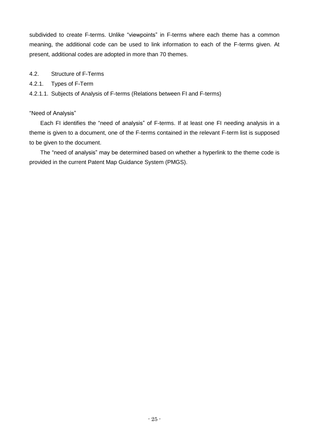subdivided to create F-terms. Unlike "viewpoints" in F-terms where each theme has a common meaning, the additional code can be used to link information to each of the F-terms given. At present, additional codes are adopted in more than 70 themes.

- <span id="page-26-0"></span>4.2. Structure of F-Terms
- 4.2.1. Types of F-Term
- 4.2.1.1. Subjects of Analysis of F-terms (Relations between FI and F-terms)

# "Need of Analysis"

Each FI identifies the "need of analysis" of F-terms. If at least one FI needing analysis in a theme is given to a document, one of the F-terms contained in the relevant F-term list is supposed to be given to the document.

The "need of analysis" may be determined based on whether a hyperlink to the theme code is provided in the current Patent Map Guidance System (PMGS).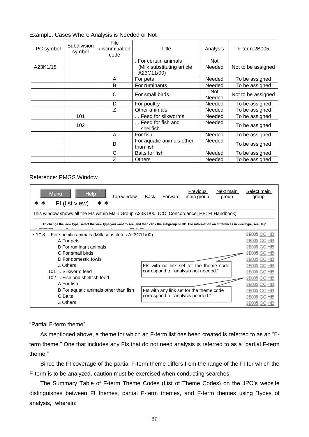#### Example: Cases Where Analysis is Needed or Not

| IPC symbol | Subdivision<br>symbol | File<br>discrimination<br>code | Title                                                             | Analysis       | F-term 2B005       |
|------------|-----------------------|--------------------------------|-------------------------------------------------------------------|----------------|--------------------|
| A23K1/18   |                       |                                | . For certain animals<br>(Milk substituting article<br>A23C11/00) | Not<br>Needed  | Not to be assigned |
|            |                       | For pets<br>A                  |                                                                   | Needed         | To be assigned     |
|            |                       | B                              | For ruminants                                                     | Needed         | To be assigned     |
|            |                       | C                              | For small birds                                                   | Not.<br>Needed | Not to be assigned |
|            |                       | D                              | For poultry                                                       | Needed         | To be assigned     |
|            |                       | Z                              | Other animals                                                     | Needed         | To be assigned     |
|            | 101                   |                                | Feed for silkworms                                                | Needed         | To be assigned     |
|            | 102                   |                                | Feed for fish and<br>shellfish                                    | <b>Needed</b>  | To be assigned     |
|            |                       | A                              | For fish                                                          | <b>Needed</b>  | To be assigned     |
|            |                       | B                              | For aquatic animals other<br>than fish                            | Needed         | To be assigned     |
|            |                       | С                              | Baits for fish                                                    | Needed         | To be assigned     |
|            |                       | Z                              | <b>Others</b>                                                     | Needed         | To be assigned     |

#### Reference: PMGS Window

| <b>Menu</b><br>Help<br>Top window<br>FI (list view)                                                                                                        | <b>Back</b> | Forward | Previous<br>main group                   | Next main<br>group | Select main<br>group |  |  |  |  |  |  |  |  |
|------------------------------------------------------------------------------------------------------------------------------------------------------------|-------------|---------|------------------------------------------|--------------------|----------------------|--|--|--|--|--|--|--|--|
| This window shows all the FIs within Main Group A23K1/00. (CC: Concordance; HB: FI Handbook)                                                               |             |         |                                          |                    |                      |  |  |  |  |  |  |  |  |
| • To change the view type, select the view type you want to see, and then click the subgroup or HB. For information on differences in view type, see Help. |             |         |                                          |                    |                      |  |  |  |  |  |  |  |  |
| 2B005 CC HB<br>• 1/18 . For specific animals (Milk substitutes A23C11/00)                                                                                  |             |         |                                          |                    |                      |  |  |  |  |  |  |  |  |
| A For pets                                                                                                                                                 |             |         |                                          |                    | 2B005 CC HB          |  |  |  |  |  |  |  |  |
| <b>B</b> For ruminant animals                                                                                                                              |             |         |                                          |                    | 2B005 CC HB          |  |  |  |  |  |  |  |  |
| C For small birds                                                                                                                                          |             |         |                                          |                    | 2B005 CC HB          |  |  |  |  |  |  |  |  |
| D For domestic fowls                                                                                                                                       |             |         |                                          |                    | 2B005 CC HB          |  |  |  |  |  |  |  |  |
| Z Others                                                                                                                                                   |             |         | Fls with no link set for the theme code  |                    | 2B005 CC HB          |  |  |  |  |  |  |  |  |
| 101 Silkworm feed                                                                                                                                          |             |         | correspond to "analysis not needed."     |                    | 2B005 CC HB          |  |  |  |  |  |  |  |  |
| 102Fish and shellfish feed                                                                                                                                 |             |         |                                          |                    | 2B005 CC HB          |  |  |  |  |  |  |  |  |
| A For fish                                                                                                                                                 |             |         |                                          |                    | 2B005 CC HB          |  |  |  |  |  |  |  |  |
| B For aquatic animals other than fish                                                                                                                      |             |         | Fls with any link set for the theme code |                    | 2B005 CC HB          |  |  |  |  |  |  |  |  |
| C Baits                                                                                                                                                    |             |         | correspond to "analysis needed."         |                    | 2B005 CC HB          |  |  |  |  |  |  |  |  |
| Z Others                                                                                                                                                   |             |         |                                          |                    | 2B005 CC HB          |  |  |  |  |  |  |  |  |

"Partial F-term theme"

As mentioned above, a theme for which an F-term list has been created is referred to as an "Fterm theme." One that includes any FIs that do not need analysis is referred to as a "partial F-term theme."

Since the FI coverage of the partial F-term theme differs from the range of the FI for which the F-term is to be analyzed, caution must be exercised when conducting searches.

The Summary Table of F-term Theme Codes (List of Theme Codes) on the JPO's website distinguishes between FI themes, partial F-term themes, and F-term themes using "types of analysis," wherein: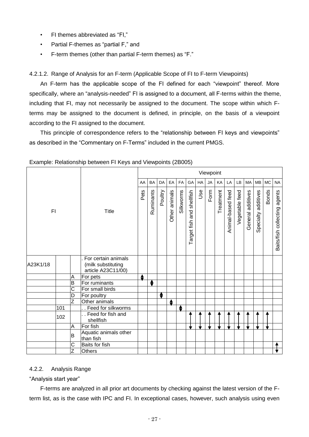- FI themes abbreviated as "FI,"
- Partial F-themes as "partial F," and
- F-term themes (other than partial F-term themes) as "F."

4.2.1.2. Range of Analysis for an F-term (Applicable Scope of FI to F-term Viewpoints)

An F-term has the applicable scope of the FI defined for each "viewpoint" thereof. More specifically, where an "analysis-needed" FI is assigned to a document, all F-terms within the theme, including that FI, may not necessarily be assigned to the document. The scope within which Fterms may be assigned to the document is defined, in principle, on the basis of a viewpoint according to the FI assigned to the document.

This principle of correspondence refers to the "relationship between FI keys and viewpoints" as described in the "Commentary on F-Terms" included in the current PMGS.

|          |     |                       |                                                                 |    |           |           |               |           |                           |            | Viewpoint |           |                   |                |                      |                     |              |                              |
|----------|-----|-----------------------|-----------------------------------------------------------------|----|-----------|-----------|---------------|-----------|---------------------------|------------|-----------|-----------|-------------------|----------------|----------------------|---------------------|--------------|------------------------------|
|          |     |                       |                                                                 | AA | <b>BA</b> | <b>DA</b> | EA            | <b>FA</b> | GA                        | HA         | <b>JA</b> | KA        | LA                | <b>LB</b>      | <b>MA</b>            | <b>MB</b>           | <b>MC</b>    | <b>NA</b>                    |
| F1       |     |                       | <b>Title</b>                                                    |    | Ruminants | Poultry   | Other animals | Silkworms | Target fish and shellfish | <b>Jse</b> | Form      | Treatment | Animal-based feed | Vegetable feed | additives<br>General | Specialty additives | <b>Bonds</b> | Baits/fish collecting agents |
| A23K1/18 |     |                       | For certain animals<br>(milk substituting<br>article A23C11/00) |    |           |           |               |           |                           |            |           |           |                   |                |                      |                     |              |                              |
|          |     | A                     | For pets                                                        | ♦  |           |           |               |           |                           |            |           |           |                   |                |                      |                     |              |                              |
|          |     | B                     | For ruminants                                                   |    | ♦         |           |               |           |                           |            |           |           |                   |                |                      |                     |              |                              |
|          |     | $\overline{\text{c}}$ | For small birds                                                 |    |           |           |               |           |                           |            |           |           |                   |                |                      |                     |              |                              |
|          |     | D                     | For poultry                                                     |    |           | ÷         |               |           |                           |            |           |           |                   |                |                      |                     |              |                              |
|          |     | Z                     | Other animals                                                   |    |           |           | ♦             |           |                           |            |           |           |                   |                |                      |                     |              |                              |
|          | 101 |                       | Feed for silkworms                                              |    |           |           |               | ♦         |                           |            |           |           |                   |                |                      |                     |              |                              |
|          | 102 |                       | Feed for fish and<br>shellfish                                  |    |           |           |               |           |                           |            |           |           |                   |                |                      |                     |              |                              |
|          |     | A                     | For fish                                                        |    |           |           |               |           |                           |            |           |           |                   |                |                      |                     |              |                              |
|          |     | B                     | Aquatic animals other<br>than fish                              |    |           |           |               |           |                           |            |           |           |                   |                |                      |                     |              |                              |
|          |     | С                     | Baits for fish                                                  |    |           |           |               |           |                           |            |           |           |                   |                |                      |                     |              |                              |
|          |     | Z                     | <b>Others</b>                                                   |    |           |           |               |           |                           |            |           |           |                   |                |                      |                     |              |                              |

Example: Relationship between FI Keys and Viewpoints (2B005)

# 4.2.2. Analysis Range

# "Analysis start year"

F-terms are analyzed in all prior art documents by checking against the latest version of the Fterm list, as is the case with IPC and FI. In exceptional cases, however, such analysis using even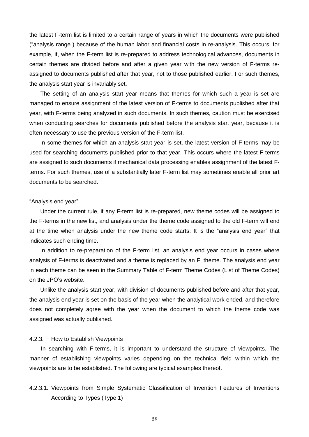the latest F-term list is limited to a certain range of years in which the documents were published ("analysis range") because of the human labor and financial costs in re-analysis. This occurs, for example, if, when the F-term list is re-prepared to address technological advances, documents in certain themes are divided before and after a given year with the new version of F-terms reassigned to documents published after that year, not to those published earlier. For such themes, the analysis start year is invariably set.

The setting of an analysis start year means that themes for which such a year is set are managed to ensure assignment of the latest version of F-terms to documents published after that year, with F-terms being analyzed in such documents. In such themes, caution must be exercised when conducting searches for documents published before the analysis start year, because it is often necessary to use the previous version of the F-term list.

In some themes for which an analysis start year is set, the latest version of F-terms may be used for searching documents published prior to that year. This occurs where the latest F-terms are assigned to such documents if mechanical data processing enables assignment of the latest Fterms. For such themes, use of a substantially later F-term list may sometimes enable all prior art documents to be searched.

#### "Analysis end year"

Under the current rule, if any F-term list is re-prepared, new theme codes will be assigned to the F-terms in the new list, and analysis under the theme code assigned to the old F-term will end at the time when analysis under the new theme code starts. It is the "analysis end year" that indicates such ending time.

In addition to re-preparation of the F-term list, an analysis end year occurs in cases where analysis of F-terms is deactivated and a theme is replaced by an FI theme. The analysis end year in each theme can be seen in the Summary Table of F-term Theme Codes (List of Theme Codes) on the JPO's website.

Unlike the analysis start year, with division of documents published before and after that year, the analysis end year is set on the basis of the year when the analytical work ended, and therefore does not completely agree with the year when the document to which the theme code was assigned was actually published.

#### 4.2.3. How to Establish Viewpoints

 In searching with F-terms, it is important to understand the structure of viewpoints. The manner of establishing viewpoints varies depending on the technical field within which the viewpoints are to be established. The following are typical examples thereof.

4.2.3.1. Viewpoints from Simple Systematic Classification of Invention Features of Inventions According to Types (Type 1)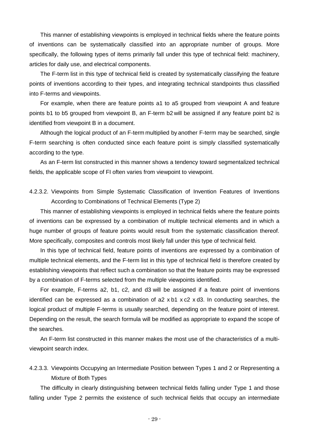This manner of establishing viewpoints is employed in technical fields where the feature points of inventions can be systematically classified into an appropriate number of groups. More specifically, the following types of items primarily fall under this type of technical field: machinery, articles for daily use, and electrical components.

The F-term list in this type of technical field is created by systematically classifying the feature points of inventions according to their types, and integrating technical standpoints thus classified into F-terms and viewpoints.

For example, when there are feature points a1 to a5 grouped from viewpoint A and feature points b1 to b5 grouped from viewpoint B, an F-term b2 will be assigned if any feature point b2 is identified from viewpoint B in a document.

Although the logical product of an F-term multiplied by another F-term may be searched, single F-term searching is often conducted since each feature point is simply classified systematically according to the type.

As an F-term list constructed in this manner shows a tendency toward segmentalized technical fields, the applicable scope of FI often varies from viewpoint to viewpoint.

# 4.2.3.2. Viewpoints from Simple Systematic Classification of Invention Features of Inventions According to Combinations of Technical Elements (Type 2)

This manner of establishing viewpoints is employed in technical fields where the feature points of inventions can be expressed by a combination of multiple technical elements and in which a huge number of groups of feature points would result from the systematic classification thereof. More specifically, composites and controls most likely fall under this type of technical field.

In this type of technical field, feature points of inventions are expressed by a combination of multiple technical elements, and the F-term list in this type of technical field is therefore created by establishing viewpoints that reflect such a combination so that the feature points may be expressed by a combination of F-terms selected from the multiple viewpoints identified.

For example, F-terms a2, b1, c2, and d3 will be assigned if a feature point of inventions identified can be expressed as a combination of a2 x b1 x c2 x d3. In conducting searches, the logical product of multiple F-terms is usually searched, depending on the feature point of interest. Depending on the result, the search formula will be modified as appropriate to expand the scope of the searches.

An F-term list constructed in this manner makes the most use of the characteristics of a multiviewpoint search index.

# 4.2.3.3. Viewpoints Occupying an Intermediate Position between Types 1 and 2 or Representing a Mixture of Both Types

The difficulty in clearly distinguishing between technical fields falling under Type 1 and those falling under Type 2 permits the existence of such technical fields that occupy an intermediate